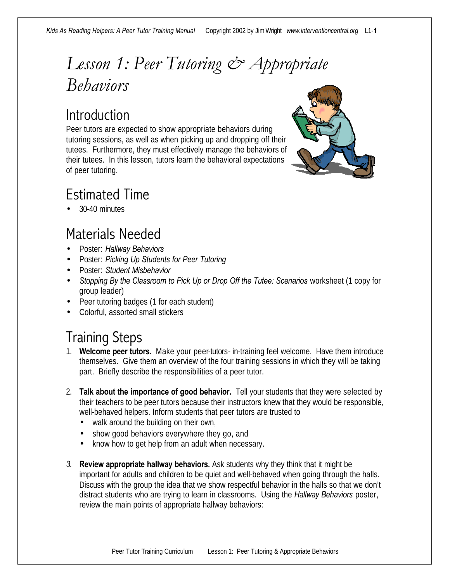### *Lesson 1: Peer Tutoring & Appropriate Behaviors*

### **Introduction**

Peer tutors are expected to show appropriate behaviors during tutoring sessions, as well as when picking up and dropping off their tutees. Furthermore, they must effectively manage the behaviors of their tutees. In this lesson, tutors learn the behavioral expectations of peer tutoring.



### Estimated Time

• 30-40 minutes

### Materials Needed

- Poster: *Hallway Behaviors*
- Poster: *Picking Up Students for Peer Tutoring*
- Poster: *Student Misbehavior*
- *Stopping By the Classroom to Pick Up or Drop Off the Tutee: Scenarios worksheet (1 copy for* group leader)
- Peer tutoring badges (1 for each student)
- Colorful, assorted small stickers

### Training Steps

- 1. **Welcome peer tutors.** Make your peer-tutors- in-training feel welcome. Have them introduce themselves. Give them an overview of the four training sessions in which they will be taking part. Briefly describe the responsibilities of a peer tutor.
- 2. **Talk about the importance of good behavior.** Tell your students that they were selected by their teachers to be peer tutors because their instructors knew that they would be responsible, well-behaved helpers. Inform students that peer tutors are trusted to
	- walk around the building on their own,
	- show good behaviors everywhere they go, and
	- know how to get help from an adult when necessary.
- *3.* **Review appropriate hallway behaviors.** Ask students why they think that it might be important for adults and children to be quiet and well-behaved when going through the halls. Discuss with the group the idea that we show respectful behavior in the halls so that we don't distract students who are trying to learn in classrooms. Using the *Hallway Behaviors* poster, review the main points of appropriate hallway behaviors: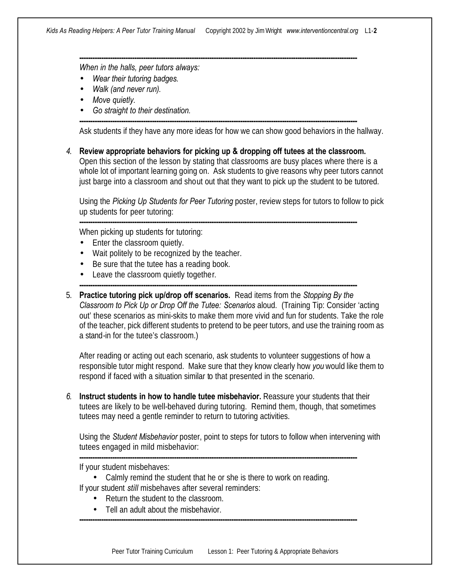**------------------------------------------------------------------------------------------------------------------------------**

**------------------------------------------------------------------------------------------------------------------------------**

*When in the halls, peer tutors always:*

- *Wear their tutoring badges.*
- *Walk (and never run).*
- *Move quietly.*
- *Go straight to their destination.*

Ask students if they have any more ideas for how we can show good behaviors in the hallway.

*4.* **Review appropriate behaviors for picking up & dropping off tutees at the classroom.**  Open this section of the lesson by stating that classrooms are busy places where there is a whole lot of important learning going on. Ask students to give reasons why peer tutors cannot just barge into a classroom and shout out that they want to pick up the student to be tutored.

Using the *Picking Up Students for Peer Tutoring* poster, review steps for tutors to follow to pick up students for peer tutoring:

**------------------------------------------------------------------------------------------------------------------------------**

**------------------------------------------------------------------------------------------------------------------------------**

When picking up students for tutoring:

- Enter the classroom quietly.
- Wait politely to be recognized by the teacher.
- Be sure that the tutee has a reading book.
- Leave the classroom quietly together.
- 5. **Practice tutoring pick up/drop off scenarios.** Read items from the *Stopping By the Classroom to Pick Up or Drop Off the Tutee: Scenarios* aloud. (Training Tip: Consider 'acting out' these scenarios as mini-skits to make them more vivid and fun for students. Take the role of the teacher, pick different students to pretend to be peer tutors, and use the training room as a stand-in for the tutee's classroom.)

After reading or acting out each scenario, ask students to volunteer suggestions of how a responsible tutor might respond. Make sure that they know clearly how *you* would like them to respond if faced with a situation similar to that presented in the scenario.

*6.* **Instruct students in how to handle tutee misbehavior.** Reassure your students that their tutees are likely to be well-behaved during tutoring. Remind them, though, that sometimes tutees may need a gentle reminder to return to tutoring activities.

**------------------------------------------------------------------------------------------------------------------------------**

Using the *Student Misbehavior* poster, point to steps for tutors to follow when intervening with tutees engaged in mild misbehavior:

If your student misbehaves:

- Calmly remind the student that he or she is there to work on reading. If your student *still* misbehaves after several reminders:
	- Return the student to the classroom.
	- Tell an adult about the misbehavior.

**------------------------------------------------------------------------------------------------------------------------------**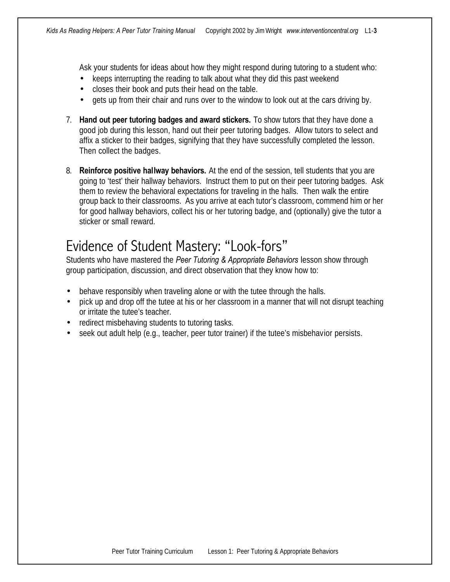Ask your students for ideas about how they might respond during tutoring to a student who:

- keeps interrupting the reading to talk about what they did this past weekend
- closes their book and puts their head on the table.
- gets up from their chair and runs over to the window to look out at the cars driving by.
- 7. **Hand out peer tutoring badges and award stickers.** To show tutors that they have done a good job during this lesson, hand out their peer tutoring badges. Allow tutors to select and affix a sticker to their badges, signifying that they have successfully completed the lesson. Then collect the badges.
- 8. **Reinforce positive hallway behaviors.** At the end of the session, tell students that you are going to 'test' their hallway behaviors. Instruct them to put on their peer tutoring badges. Ask them to review the behavioral expectations for traveling in the halls. Then walk the entire group back to their classrooms. As you arrive at each tutor's classroom, commend him or her for good hallway behaviors, collect his or her tutoring badge, and (optionally) give the tutor a sticker or small reward.

#### Evidence of Student Mastery: "Look-fors"

Students who have mastered the *Peer Tutoring & Appropriate Behaviors* lesson show through group participation, discussion, and direct observation that they know how to:

- behave responsibly when traveling alone or with the tutee through the halls.
- pick up and drop off the tutee at his or her classroom in a manner that will not disrupt teaching or irritate the tutee's teacher.
- redirect misbehaving students to tutoring tasks.
- seek out adult help (e.g., teacher, peer tutor trainer) if the tutee's misbehavior persists.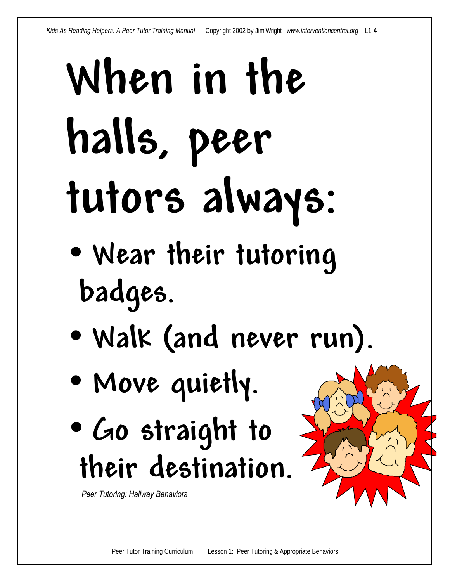# **When in the halls, peer tutors always:**

- **Wear their tutoring badges.**
- **Walk (and never run).**
- **Move quietly.**
- **Go straight to their destination.**

 *Peer Tutoring: Hallway Behaviors*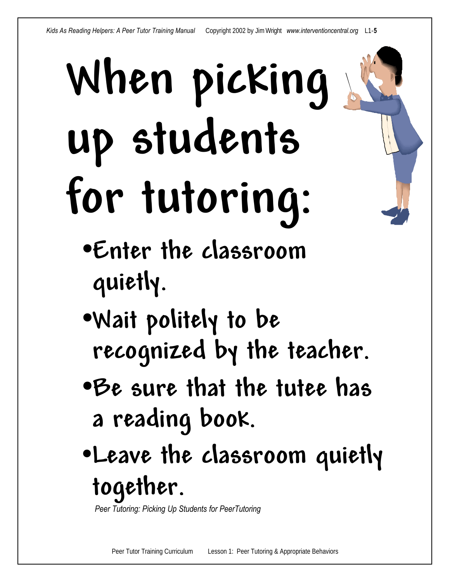# **When picking up students for tutoring:**

- •**Enter the classroom quietly.**
- •**Wait politely to be recognized by the teacher.**
- •**Be sure that the tutee has a reading book.**
- •**Leave the classroom quietly together.**

 *Peer Tutoring: Picking Up Students for PeerTutoring*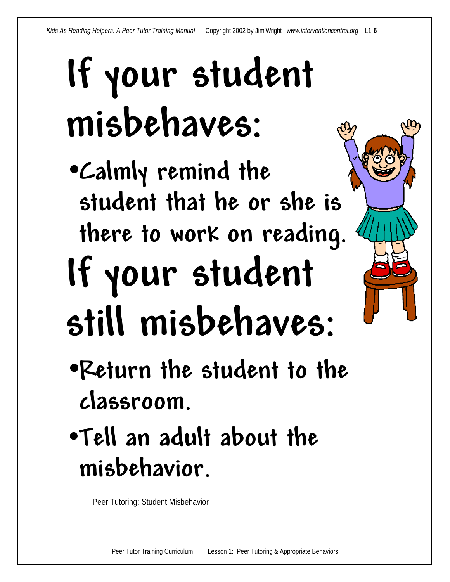## **If your student misbehaves:**

- •**Calmly remind the student that he or she is there to work on reading. If your student still misbehaves:**
- •**Return the student to the classroom.**
- •**Tell an adult about the misbehavior.**

Peer Tutoring: Student Misbehavior

Peer Tutor Training Curriculum Lesson 1: Peer Tutoring & Appropriate Behaviors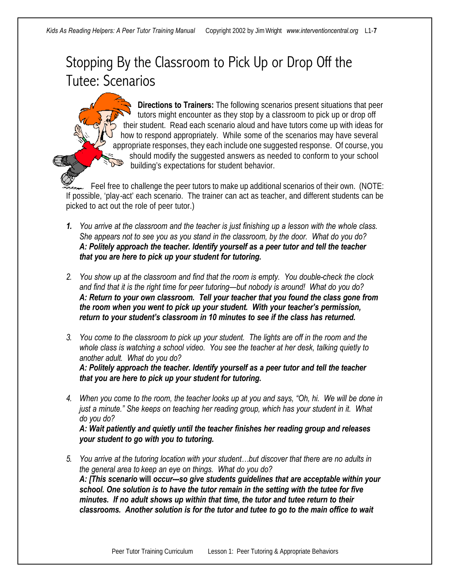### Stopping By the Classroom to Pick Up or Drop Off the Tutee: Scenarios

**Directions to Trainers:** The following scenarios present situations that peer tutors might encounter as they stop by a classroom to pick up or drop off their student. Read each scenario aloud and have tutors come up with ideas for how to respond appropriately. While some of the scenarios may have several appropriate responses, they each include one suggested response. Of course, you should modify the suggested answers as needed to conform to your school building's expectations for student behavior.

Feel free to challenge the peer tutors to make up additional scenarios of their own. (NOTE: If possible, 'play-act' each scenario. The trainer can act as teacher, and different students can be picked to act out the role of peer tutor.)

- *1. You arrive at the classroom and the teacher is just finishing up a lesson with the whole class. She appears not to see you as you stand in the classroom, by the door. What do you do? A: Politely approach the teacher. Identify yourself as a peer tutor and tell the teacher that you are here to pick up your student for tutoring.*
- *2. You show up at the classroom and find that the room is empty. You double-check the clock and find that it is the right time for peer tutoring—but nobody is around! What do you do? A: Return to your own classroom. Tell your teacher that you found the class gone from the room when you went to pick up your student. With your teacher's permission, return to your student's classroom in 10 minutes to see if the class has returned.*
- *3. You come to the classroom to pick up your student. The lights are off in the room and the whole class is watching a school video. You see the teacher at her desk, talking quietly to another adult. What do you do? A: Politely approach the teacher. Identify yourself as a peer tutor and tell the teacher that you are here to pick up your student for tutoring.*
- *4. When you come to the room, the teacher looks up at you and says, "Oh, hi. We will be done in just a minute." She keeps on teaching her reading group, which has your student in it. What do you do?*

*A: Wait patiently and quietly until the teacher finishes her reading group and releases your student to go with you to tutoring.*

*5. You arrive at the tutoring location with your student…but discover that there are no adults in the general area to keep an eye on things. What do you do? A: [This scenario* **will** *occur---so give students guidelines that are acceptable within your school. One solution is to have the tutor remain in the setting with the tutee for five minutes. If no adult shows up within that time, the tutor and tutee return to their classrooms. Another solution is for the tutor and tutee to go to the main office to wait*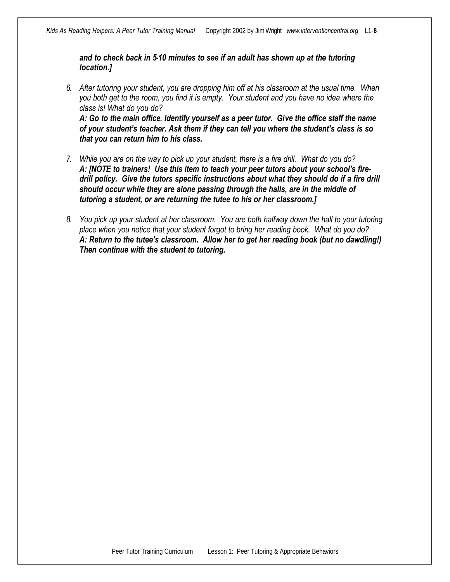*and to check back in 5-10 minutes to see if an adult has shown up at the tutoring location.]*

*6. After tutoring your student, you are dropping him off at his classroom at the usual time. When you both get to the room, you find it is empty. Your student and you have no idea where the class is! What do you do? A: Go to the main office. Identify yourself as a peer tutor. Give the office staff the name* 

*of your student's teacher. Ask them if they can tell you where the student's class is so that you can return him to his class.*

- *7. While you are on the way to pick up your student, there is a fire drill. What do you do? A: [NOTE to trainers! Use this item to teach your peer tutors about your school's firedrill policy. Give the tutors specific instructions about what they should do if a fire drill should occur while they are alone passing through the halls, are in the middle of tutoring a student, or are returning the tutee to his or her classroom.]*
- *8. You pick up your student at her classroom. You are both halfway down the hall to your tutoring place when you notice that your student forgot to bring her reading book. What do you do? A: Return to the tutee's classroom. Allow her to get her reading book (but no dawdling!) Then continue with the student to tutoring.*